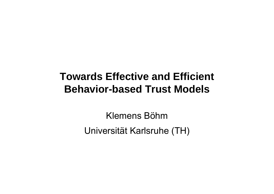# **Towards Effective and Efficient Behavior-based Trust Models**

Klemens BöhmUniversität Karlsruhe (TH)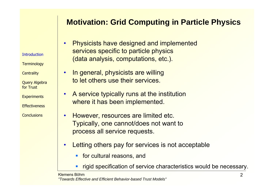### **Motivation: Grid Computing in Particle Physics**

**Introduction** 

**Terminology** 

**Centrality** 

Query Algebra for Trust

•

•

**Experiments** 

**Effectiveness** 

- • Physicists have designed and implemented services specific to particle physics (data analysis, computations, etc.).
- • In general, physicists are willing to let others use their services.
	- A service typically runs at the institution where it has been implemented.
	- However, resources are limited etc. Typically, one cannot/does not want to process all service requests.
- • Letting others pay for services is not acceptable
	- **for cultural reasons, and**
	- П rigid specification of service characteristics would be necessary.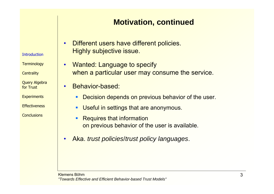#### **Motivation, continued**

- • Different users have different policies. Highly subjective issue.
- • Wanted: Language to specify when a particular user may consume the service.
- • Behavior-based:
	- $\mathcal{L}_{\mathcal{A}}$ Decision depends on previous behavior of the user.
	- $\blacksquare$ Useful in settings that are anonymous.
	- П Requires that information on previous behavior of the user is available.
- •Aka. *trust policies*/*trust policy languages*.

**Centrality** 

**Introduction** 

Query Algebra for Trust

**Experiments** 

**Effectiveness**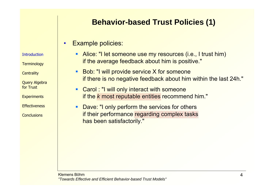## **Behavior-based Trust Policies (1)**

#### •Example policies:

**Introduction** 

**Terminology** 

**Centrality** 

Query Algebra for Trust

**Experiments** 

**Effectiveness** 

- **Alice: "I let someone use my resources (i.e., I trust him)** if the average feedback about him is positive."
- Bob: "I will provide service X for someone if there is no negative feedback about him within the last 24h."
- П **Carol : "I will only interact with someone** if the *k* most reputable entities recommend him."
- $\mathcal{L}_{\mathcal{A}}$  Dave: "I only perform the services for others if their performance regarding complex tasks has been satisfactorily."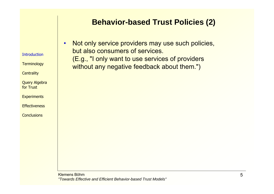#### **Behavior-based Trust Policies (2)**

**Introduction** 

**Terminology** 

**Centrality** 

Query Algebra for Trust

**Experiments** 

**Effectiveness** 

**Conclusions** 

• Not only service providers may use such policies, but also consumers of services.(E.g., "I only want to use services of providers without any negative feedback about them.")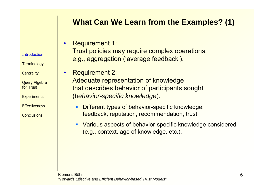## **What Can We Learn from the Examples? (1)**

•Requirement 1:

•

Trust policies may require complex operations, e.g., aggregation ('average feedback').

- Requirement 2: Adequate representation of knowledge that describes behavior of participants sought (*behavior-specific knowledge*).
	- $\overline{\phantom{a}}$  Different types of behavior-specific knowledge: feedback, reputation, recommendation, trust.
	- П Various aspects of behavior-specific knowledge considered (e.g., context, age of knowledge, etc.).

**Introduction** 

**Terminology** 

**Centrality** 

Query Algebra for Trust

**Experiments** 

**Effectiveness**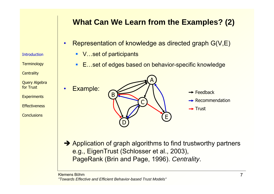## **What Can We Learn from the Examples? (2)**

- • Representation of knowledge as directed graph G(V,E)
	- V…set of participants
	- E…set of edges based on behavior-specific knowledge

Query Algebra for Trust

**Introduction** 

**Terminology** 

**Centrality** 

•

**Experiments** 

**Effectiveness** 

**Conclusions** 



- $\rightarrow$  Feedback
- $\rightarrow$  Recommendation
- $\rightarrow$  Trust

 $\rightarrow$  Application of graph algorithms to find trustworthy partners e.g., EigenTrust (Schlosser et al., 2003), PageRank (Brin and Page, 1996). *Centrality*.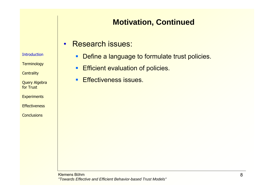## **Motivation, Continued**

•Research issues:

**Introduction** 

**Terminology** 

**Centrality** 

Query Algebra for Trust

**Experiments** 

**Effectiveness** 

- $\blacksquare$  . Define a language to formulate trust policies.
- $\blacksquare$  . Efficient evaluation of policies.
- **Effectiveness issues.**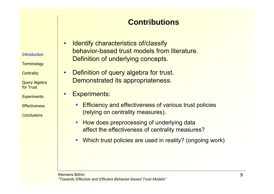## **Contributions**

**Introduction** 

•

•

**Terminology** 

**Centrality** 

Query Algebra for Trust

**Experiments** 

**Effectiveness** 

- Identify characteristics of/classify behavior-based trust models from literature.Definition of underlying concepts.
- • Definition of query algebra for trust. Demonstrated its appropriateness.
	- Experiments:
		- $\blacksquare$  Efficiency and effectiveness of various trust policies (relying on centrality measures).
		- $\blacksquare$  How does preprocessing of underlying data affect the effectiveness of centrality measures?
		- П Which trust policies are used in reality? (ongoing work)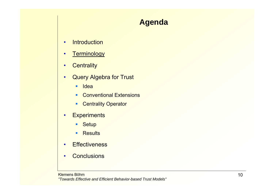## **Agenda**

- •**Introduction**
- •**Terminology**
- •**Centrality**
- • Query Algebra for Trust
	- $\blacksquare$ **Idea**
	- **Conventional Extensions**
	- $\mathbf{R}^{\text{max}}$ Centrality Operator
- •**Experiments** 
	- $\mathbf{R}^{(1)}$ **Setup**
	- $\mathbf{u}$  . **Results**
- •• Effectiveness
- •**Conclusions**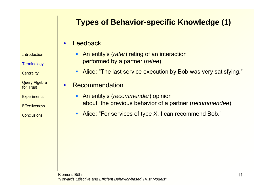## **Types of Behavior-specific Knowledge (1)**

#### •Feedback

**Introduction** 

**Terminology** 

**Centrality** 

Query Algebra for Trust

**Experiments** 

**Effectiveness** 

**Conclusions** 

- **An entity's (***rater***) rating of an interaction** performed by a partner (*ratee*).
- **Alice: "The last service execution by Bob was very satisfying."**

•Recommendation

- An entity's (*recommender*) opinion about the previous behavior of a partner (*recommendee*)
- **Alice: "For services of type X, I can recommend Bob."**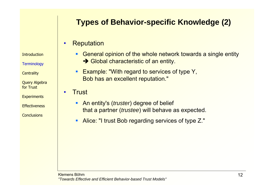## **Types of Behavior-specific Knowledge (2)**

#### •**Reputation**

**Introduction** 

**Terminology** 

**Centrality** 

Query Algebra for Trust

**Experiments** 

**Effectiveness** 

**Conclusions** 

- **General opinion of the whole network towards a single entity**  $\rightarrow$  Global characteristic of an entity.
- **Example: "With regard to services of type Y,** Bob has an excellent reputation."

**Trust** 

•

- **An entity's (truster) degree of belief** that a partner (*trustee*) will behave as expected.
- **Alice: "I trust Bob regarding services of type Z."**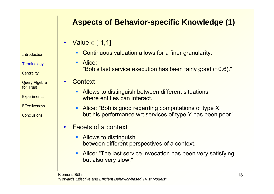## **Aspects of Behavior-specific Knowledge (1)**

•• Value ∈ [-1,1]

**Introduction** 

**Terminology** 

**Centrality** 

Query Algebra for Trust

**Experiments** 

**Effectiveness** 

**Conclusions** 

- **Continuous valuation allows for a finer granularity.**
- **Alice:** "Bob's last service execution has been fairly good (~0.6)."

**Context** 

•

- **Allows to distinguish between different situations** where entities can interact.
- ٠ Alice: "Bob is good regarding computations of type X, but his performance wrt services of type Y has been poor."
- • Facets of a context
	- ٠ Allows to distinguish between different perspectives of a context.
	- $\mathcal{L}_{\mathcal{A}}$  Alice: "The last service invocation has been very satisfying but also very slow."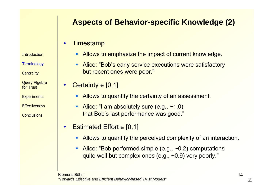# **Aspects of Behavior-specific Knowledge (2)**

#### •**Timestamp**

•

**Introduction** 

**Terminology** 

**Centrality** 

Query Algebra for Trust

**Experiments** 

**Effectiveness** 

**Conclusions** 

#### $\blacksquare$ Allows to emphasize the impact of current knowledge.

П Alice: "Bob's early service executions were satisfactory but recent ones were poor."

Certainty  $\in$  [0,1]

- **Allows to quantify the certainty of an assessment.**
- Alice: "I am absolutely sure  $(e.g., ~1.0)$ that Bob's last performance was good."
- • Estimated Effort <sup>∈</sup> [0,1]
	- П Allows to quantify the perceived complexity of an interaction.
	- $\mathcal{L}_{\mathcal{A}}$ Alice: "Bob performed simple (e.g., ~0.2) computations quite well but complex ones (e.g., ~0.9) very poorly."

Klemens Böhm*"Towards Effective and Efficient Behavior-based Trust Models"*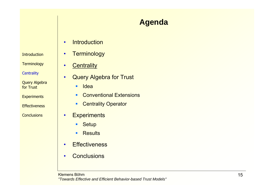#### **Introduction**

**Terminology** 

**Centrality** 

Query Algebra for Trust

**Experiments** 

**Effectiveness** 

**Conclusions** 

## **Agenda**

- •**Introduction**
- •**Terminology**
- •**Centrality**
- •Query Algebra for Trust

 $\blacksquare$ **Idea** 

- **COLLEGE** Conventional Extensions
- $\blacksquare$ Centrality Operator
- •**Experiments** 
	- $\mathbf{R}^{\text{max}}$ **Setup**
	- $\mathbf{u}$ **Results**
- •• Effectiveness
- •**•** Conclusions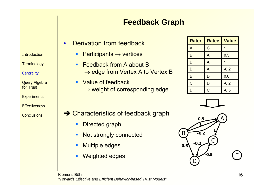## **Feedback Graph**

- • Derivation from feedback
	- ٠ Participants  $\rightarrow$  vertices
	- $\blacksquare$  Feedback from A about B  $\rightarrow$  edge from Vertex A to Vertex B
	- Value of feedback  $\rightarrow$  weight of corresponding edge

| <b>Rater</b>   | <b>Ratee</b>   | <b>Value</b> |
|----------------|----------------|--------------|
| A              | C              | 1            |
| B              | A              | 0.5          |
| B              | A              | 1            |
| B              | A              | $-0.2$       |
| B              | D              | 0.6          |
| $\overline{C}$ | D              | $-0.2$       |
| D              | $\overline{C}$ | $-0.5$       |





- $\rightarrow$  Characteristics of feedback graph
	- $\blacksquare$ Directed graph
	- $\mathcal{L}$ Not strongly connected
	- $\mathcal{L}_{\mathcal{A}}$ Multiple edges
	- П Weighted edges

Klemens Böhm*"Towards Effective and Efficient Behavior-based Trust Models"*

**Introduction** 

**Terminology** 

**Centrality** 

Query Algebra for Trust

**Experiments** 

**Effectiveness**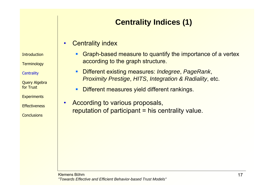# **Centrality Indices (1)**

#### •Centrality index

**Introduction** 

**Terminology** 

**Centrality** 

Query Algebra for Trust

**Experiments** 

**Effectiveness** 

- $\blacksquare$  Graph-based measure to quantify the importance of a vertex according to the graph structure.
- Different existing measures: *Indegree*, *PageRank*, *Proximity Prestige*, *HITS*, *Integration & Radiality*, etc.
- П Different measures yield different rankings.
- • According to various proposals, reputation of participant  $=$  his centrality value.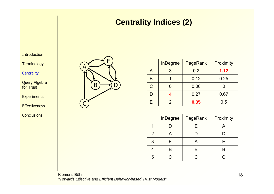### **Centrality Indices (2)**

Introduction

**Terminology** 

**Centrality** 

Query Algebra for Trust

**Experiments** 

**Effectiveness** 

**Conclusions** 



|                | <b>InDegree</b> | PageRank | Proximity |
|----------------|-----------------|----------|-----------|
| $\overline{A}$ | 3               | 0.2      | 1.12      |
| B              |                 | 0.12     | 0.25      |
| $\overline{C}$ |                 | 0.06     |           |
| D              | 4               | 0.27     | 0.67      |
| F              | 2               | 0.35     | 0.5       |

|                | <b>InDegree</b> | PageRank | Proximity |
|----------------|-----------------|----------|-----------|
|                |                 | F.       |           |
| $\overline{2}$ |                 |          |           |
| 3              | F               | A        | F         |
|                |                 |          |           |
| 5              | ◠               |          | ◠         |

Klemens Böhm*"Towards Effective and Efficient Behavior-based Trust Models"*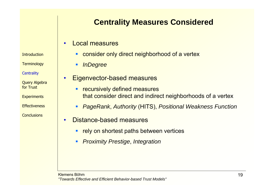## **Centrality Measures Considered**

#### •Local measures

**Introduction** 

**Terminology** 

**Centrality** 

Query Algebra for Trust

**Experiments** 

**Effectiveness** 

**Conclusions** 

#### $\blacksquare$ consider only direct neighborhood of a vertex

П *InDegree*

- • Eigenvector-based measures
	- $\blacksquare$  recursively defined measures that consider direct and indirect neighborhoods of a vertex
	- П *PageRank*, *Authority* (HITS), *Positional Weakness Function*
- • Distance-based measures
	- **rely on shortest paths between vertices**
	- П *Proximity Prestige*, *Integration*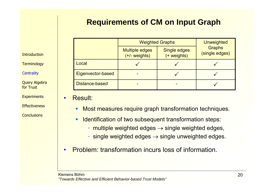## **Requirements of CM on Input Graph**

|                   |                                          | <b>Weighted Graphs</b>      | <b>Unweighted</b>               |
|-------------------|------------------------------------------|-----------------------------|---------------------------------|
|                   | <b>Multiple edges</b><br>$(+/-$ weights) | Single edges<br>(+ weights) | <b>Graphs</b><br>(single edges) |
| Local             |                                          |                             |                                 |
| Eigenvector-based |                                          |                             |                                 |
| Distance-based    |                                          |                             |                                 |

**Introduction** 

**Terminology** 

**Centrality** 

Query Algebra for Trust

**Experiments** 

**Effectiveness** 

**Conclusions** 

Result:

•

- $\overline{\phantom{a}}$ Most measures require graph transformation techniques.
- $\mathcal{L}$ Identification of two subsequent transformation steps:
	- multiple weighted edges  $\rightarrow$  single weighted edges,
	- $\cdot$  single weighted edges  $\rightarrow$  single unweighted edges.
- •Problem: transformation incurs loss of information.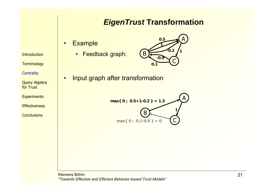#### *EigenTrust* **Transformation**

#### •**Example**

•

**Introduction** 

**Terminology** 

Query Algebra for Trust

**Experiments** 

**Effectiveness** 

**Conclusions** 

**Centrality** 

■ Feedback graph:



Input graph after transformation



Klemens Böhm*"Towards Effective and Efficient Behavior-based Trust Models"*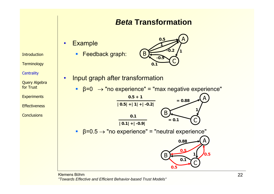#### *Beta* **Transformation**

#### •**Example**

•

■ Feedback graph:



- Input graph after transformation
	- $\beta$ =0  $\rightarrow$  "no experience" = "max negative experience"



Klemens Böhm*"Towards Effective and Efficient Behavior-based Trust Models"*

**Introduction** 

**Terminology** 

**Centrality** 

Query Algebra for Trust

**Experiments** 

**Effectiveness**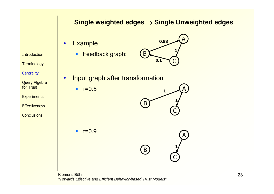#### **Single weighted edges** <sup>→</sup> **Single Unweighted edges**

- •**Example** 
	- Feedback graph:



- • Input graph after transformation
	- $-17=0.5$

 $-$  τ=0.9

**Experiments** 

Query Algebra for Trust

**Introduction** 

**Terminology** 

**Centrality** 

- **Effectiveness**
- **Conclusions**



C

**1**

B

Klemens Böhm*"Towards Effective and Efficient Behavior-based Trust Models"*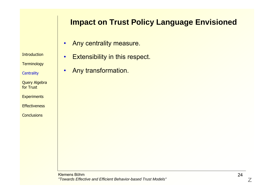#### **Impact on Trust Policy Language Envisioned**

- •Any centrality measure.
- **Introduction**
- **Terminology**
- **Centrality**
- Query Algebra for Trust
- **Experiments**
- **Effectiveness**
- **Conclusions**
- •Extensibility in this respect.
- •Any transformation.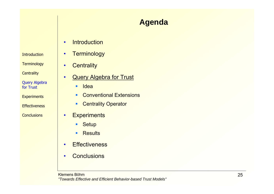#### **Introduction**

**Terminology** 

**Centrality** 

Query Algebra for Trust

**Experiments** 

**Effectiveness** 

**Conclusions** 

## **Agenda**

- •**Introduction**
- •**Terminology**
- •**Centrality**

•

Query Algebra for Trust

 $\blacksquare$ **Idea** 

- $\blacksquare$ Conventional Extensions
- $\mathcal{L}_{\mathcal{A}}$ Centrality Operator
- •**Experiments** 
	- $\mathbf{R}^{\text{max}}$ **Setup**
	- $\mathbf{u}$ **Results**
- •• Effectiveness
- •**•** Conclusions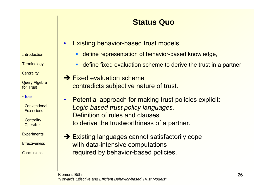## **Status Quo**

- • Existing behavior-based trust models
	- ٠ define representation of behavior-based knowledge,
	- П define fixed evaluation scheme to derive the trust in a partner.
- $\rightarrow$  Fixed evaluation scheme contradicts subjective nature of trust.
- • Potential approach for making trust policies explicit: *Logic-based trust policy languages.* Definition of rules and clauses to derive the trustworthiness of a partner.
- $\rightarrow$  Existing languages cannot satisfactorily cope with data-intensive computations required by behavior-based policies.

**Introduction** 

**Terminology** 

**Centrality** 

Query Algebra for Trust

- Idea

- Conventional**Extensions** 

- Centrality **Operator** 

**Experiments** 

**Effectiveness**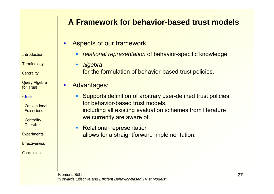## **A Framework for behavior-based trust models**

•Aspects of our framework:

- **Introduction**
- **Terminology**
- **Centrality**
- Query Algebra for Trust
- Idea
- Conventional**Extensions**
- Centrality **Operator**
- **Experiments**
- **Effectiveness**
- **Conclusions**
- - п *relational representation* of behavior-specific knowledge,
	- ٠ *algebra*  for the formulation of behavior-based trust policies.
- • Advantages:
	- $\mathbf{m}$  Supports definition of arbitrary user-defined trust policies for behavior-based trust models, including all existing evaluation schemes from literature we currently are aware of.
	- $\blacksquare$  Relational representation allows for a straightforward implementation.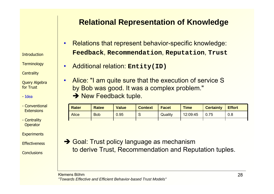**Introduction** 

**Terminology** 

**Centrality** 

Query Algebra for Trust

•

- Idea

- Conventional**Extensions**
- Centrality **Operator**

**Experiments** 

**Effectiveness** 

**Conclusions** 

## **Relational Representation of Knowledge**

- • Relations that represent behavior-specific knowledge: **Feedback**, **Recommendation**, **Reputation**, **Trust**
- • Additional relation: **Entity(ID)**
	- Alice: "I am quite sure that the execution of service S by Bob was good. It was a complex problem." → New Feedback tuple.

| <b>Rater</b> | <b>Ratee</b> | <b>Value</b> | <b>Context</b> | <b>Facet</b> | Time     | <b>Certainty</b> | <b>Effort</b> |
|--------------|--------------|--------------|----------------|--------------|----------|------------------|---------------|
| <b>Alice</b> | <b>Bob</b>   | 0.95         | ๛              | Quality      | 12:09:45 | 0.75             | 0.8           |
|              |              |              |                |              |          |                  |               |

**→ Goal: Trust policy language as mechanism** to derive Trust, Recommendation and Reputation tuples.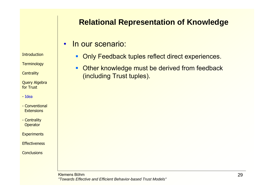### **Relational Representation of Knowledge**

•In our scenario:

- **Introduction**
- **Terminology**
- **Centrality**

Query Algebra for Trust

- Idea
- Conventional**Extensions**
- Centrality **Operator**

**Experiments** 

**Effectiveness** 

- - **Dialy Feedback tuples reflect direct experiences.**
- $\blacksquare$  Other knowledge must be derived from feedback (including Trust tuples).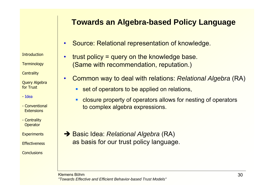#### **Towards an Algebra-based Policy Language**

- •Source: Relational representation of knowledge.
- • trust policy = query on the knowledge base. (Same with recommendation, reputation.)
- Common way to deal with relations: *Relational Algebra* (RA)
	- **Set of operators to be applied on relations,**
	- П closure property of operators allows for nesting of operators to complex algebra expressions.

**→ Basic Idea:** *Relational Algebra* **(RA)** as basis for our trust policy language.

#### **Introduction**

**Terminology** 

**Centrality** 

Query Algebra for Trust

•

- Idea

- Conventional**Extensions** 

- Centrality **Operator** 

**Experiments** 

**Effectiveness**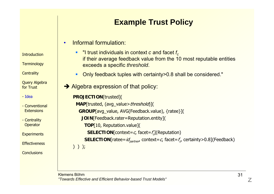# **Example Trust Policy**

#### •Informal formulation:

- u  $\blacksquare$   $\blacksquare$  I trust individuals in context  $c$  and facet  $f_c$ if their average feedback value from the 10 most reputable entities exceeds a specific *threshold*.
- $\mathbf{r}$ Only feedback tuples with certainty>0.8 shall be considered."
- $\rightarrow$  Algebra expression of that policy:

```
PROJECTION[trusted](
 MAP[trusted, (avg_value>threshold)](
  GROUP[avg_value, AVG(Feedback.value), {ratee}](
    JOIN[Feedback.rater=Reputation.entity](
     TOP[10, Reputation.value](
      SELECTION[context=c, facet=f_c](Reputation)
     SELECTION[ratee=id_{pattern} context=c, facet=f_d certainty>0.8](Feedback)
) ) );
```
**Introduction** 

**Terminology** 

**Centrality** 

Query Algebra for Trust

- Idea
- Conventional**Extensions**
- Centrality **Operator**

**Experiments** 

**Effectiveness**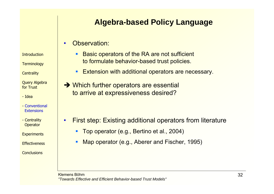### **Algebra-based Policy Language**

#### •Observation:

**Introduction** 

**Terminology** 

**Centrality** 

Query Algebra for Trust

- Idea

- Conventional **Extensions** 

•

- Centrality **Operator** 

**Experiments** 

**Effectiveness** 

- $\blacksquare$  Basic operators of the RA are not sufficient to formulate behavior-based trust policies.
- **Extension with additional operators are necessary.**
- $\rightarrow$  Which further operators are essential to arrive at expressiveness desired?

- First step: Existing additional operators from literature
	- $\mathcal{L}_{\mathcal{A}}$ Top operator (e.g., Bertino et al., 2004)
	- $\mathcal{L}_{\mathcal{A}}$ Map operator (e.g., Aberer and Fischer, 1995)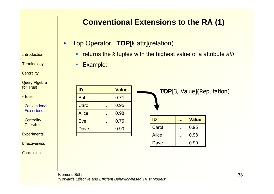# **Introduction**

**Terminology** 

**Centrality** 

Query Algebra for Trust

- Idea

- Conventional **Extensions**
- Centrality **Operator**

**Experiments** 

**Effectiveness** 

**Conclusions** 

## **Conventional Extensions to the RA (1)**

- • Top Operator: **TOP**[k,attr](relation)
	- returns the *k* tuples with the highest value of a attribute *attr*
	- $\blacksquare$ Example:

| ID           | <b>Value</b> |  |
|--------------|--------------|--|
| <b>Bob</b>   | 0.71         |  |
| Carol        | 0.95         |  |
| <b>Alice</b> | 0.98         |  |
| Eve          | 0.75         |  |
| <b>Dave</b>  | 0.90         |  |
|              |              |  |

**TOP**[3, Value](Reputation)

| ID    | <b>Value</b> |
|-------|--------------|
| Carol | 0.95         |
| Alice | 0.98         |
| Dave  | 0.90         |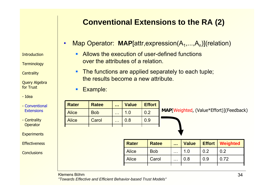## **Conventional Extensions to the RA (2)**

**Introduction** 

**Terminology** 

**Centrality** 

Query Algebra for Trust

- Idea

- Conventional **Extensions**
- Centrality **Operator**

**Experiments** 

**Effectiveness** 

**Conclusions** 

- •Map Operator: **MAP**[attr,expression(A<sub>1</sub>,...,A<sub>n</sub>)](relation)
	- **Allows the execution of user-defined functions** over the attributes of a relation.
	- **The functions are applied separately to each tuple;** the results become a new attribute.
	- **Example:**

| <b>Rater</b> | <b>Ratee</b> | $\mathbf{r}$ | <b>Value</b> | <b>Effort</b> |                                                 |
|--------------|--------------|--------------|--------------|---------------|-------------------------------------------------|
| <b>Alice</b> | <b>Bob</b>   | $\cdots$     |              | 0.2           | <b>MAP</b> [Weighted, (Value*Effort)](Feedback) |
| <b>Alice</b> | Carol        | $\cdots$     | 0.8          | 0.9           |                                                 |
|              |              |              |              |               |                                                 |

| <b>Rater</b> | <b>Ratee</b> | $\cdots$ | <b>Value</b> |     | <b>Effort   Weighted</b> |
|--------------|--------------|----------|--------------|-----|--------------------------|
| <b>Alice</b> | <b>Bob</b>   | $\cdots$ | 1.0          | 0.2 | 0.2                      |
| <b>Alice</b> | Carol        | $\cdots$ | 0.8          | 0.9 | 0.72                     |
|              |              |          |              |     |                          |

Klemens Böhm

*"Towards Effective and Efficient Behavior-based Trust Models"*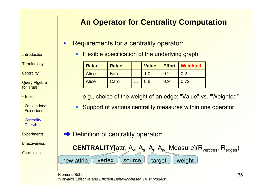## **An Operator for Centrality Computation**

- • Requirements for a centrality operator:
	- $\blacksquare$ Flexible specification of the underlying graph

| <b>Rater</b> | <b>Ratee</b> | $\mathbf{r}$         | <b>Value</b> |     | <b>Effort   Weighted</b> |
|--------------|--------------|----------------------|--------------|-----|--------------------------|
| <b>Alice</b> | <b>Bob</b>   | $\sim$ $\sim$ $\sim$ | 1 0          |     | 0.2                      |
| <b>Alice</b> | Carol        | $\sim$ $\sim$ $\sim$ | 0.8          | 0.9 | 0.72                     |
|              |              |                      |              |     |                          |

- e.g., choice of the weight of an edge: "Value" vs. "Weighted"
- $\mathcal{L}_{\mathcal{A}}$ **Support of various centrality measures within one operator**
- $\rightarrow$  Definition of centrality operator:



Klemens Böhm*"Towards Effective and Efficient Behavior-based Trust Models"*

**Introduction** 

**Terminology** 

**Centrality** 

Query Algebra for Trust

- Idea

- Conventional**Extensions** 

- Centrality **Operator** 

**Experiments** 

**Effectiveness**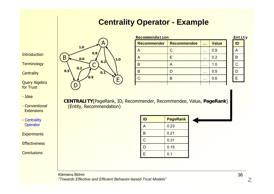#### **Centrality Operator - Example**

**Introduction** 

**Terminology** 

**Centrality** 

Query Algebra for Trust

- Idea

- Conventional**Extensions** 

- Centrality **Operator** 

**Experiments** 

**Effectiveness** 

**Conclusions** 



| Recommendation     |                    |               |              | Entity         |  |
|--------------------|--------------------|---------------|--------------|----------------|--|
| <b>Recommender</b> | <b>Recommendee</b> | $\cdots$      | <b>Value</b> | ID             |  |
|                    |                    | $\cdots$      | 0.9          |                |  |
| A                  |                    | $\cdots$      | 0.2          | B              |  |
| B                  |                    | $\sim$ $\sim$ | 1.0          | $\overline{C}$ |  |
| B                  |                    | $\cdots$      | 0.5          |                |  |
| C                  | R                  | $\cdots$      | 0.6          | E              |  |
|                    |                    |               |              |                |  |

**ID**

| ID |  |
|----|--|
|    |  |
| B  |  |
| ÷  |  |
| D  |  |
| Ξ  |  |

**CENTRALITY**[PageRank, ID, Recommender, Recommendee, Value, **PageRank**] (Entity, Recommendation)

| ID             | <b>PageRank</b> |
|----------------|-----------------|
| A              | 0.23            |
| B              | 0.21            |
| $\overline{C}$ | 0.31            |
| D              | 0.15            |
| E              | 0.1             |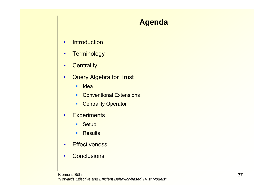## **Agenda**

- •**Introduction**
- •**Terminology**
- •**Centrality**
- • Query Algebra for Trust
	- $\blacksquare$ **Idea**
	- **Conventional Extensions**
	- $\mathbf{R}^{\text{max}}$ Centrality Operator
- •**Experiments** 
	- $\mathbf{R}^{\text{max}}$ **Setup**
	- $\mathbf{u}$ **Results**
- •• Effectiveness
- •**Conclusions**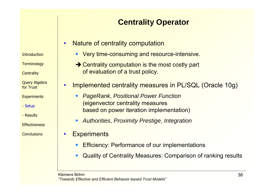# **Centrality Operator**

- • Nature of centrality computation
	- **Very time-consuming and resource-intensive.**
	- $\rightarrow$  Centrality computation is the most costly part of evaluation of a trust policy.
- • Implemented centrality measures in PL/SQL (Oracle 10g)
	- П *PageRank*, *Positional Power Function* (eigenvector centrality measures based on power iteration implementation)
	- П *Authorities*, *Proximity Prestige*, *Integration*
- •**Experiments** 
	- П Efficiency: Performance of our implementations
	- П Quality of Centrality Measures: Comparison of ranking results

Klemens Böhm*"Towards Effective and Efficient Behavior-based Trust Models"*

**Introduction** 

**Terminology** 

**Centrality** 

Query Algebra for Trust

**Experiments** 

- Setup

- Results

**Effectiveness**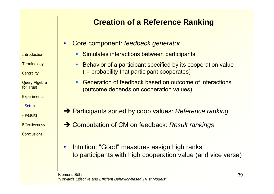## **Creation of a Reference Ranking**

•Core component: *feedback generator*

**Introduction** 

**Terminology** 

**Centrality** 

Query Algebra for Trust

**Experiments** 

- Setup
- Results

**Effectiveness** 

**Conclusions** 

- **Simulates interactions between participants**
- П Behavior of a participant specified by its cooperation value ( = probability that participant cooperates)
- П Generation of feedback based on outcome of interactions (outcome depends on cooperation values)
- **→ Participants sorted by coop values: Reference ranking**
- **→ Computation of CM on feedback: Result rankings**
- • Intuition: "Good" measures assign high ranks to participants with high cooperation value (and vice versa)

Klemens Böhm*"Towards Effective and Efficient Behavior-based Trust Models"*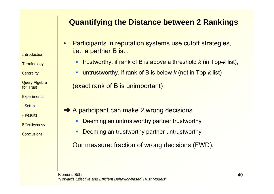### **Quantifying the Distance between 2 Rankings**

**Introduction** 

**Terminology** 

**Centrality** 

Query Algebra for Trust

**Experiments** 

- Setup

- Results

**Effectiveness** 

**Conclusions** 

• Participants in reputation systems use cutoff strategies, i.e., a partner B is...

- ٠ trustworthy, if rank of B is above a threshold *k* (in Top-*k* list),
- П untrustworthy, if rank of B is below *k* (not in Top-*k* list)

(exact rank of B is unimportant)

- **→ A participant can make 2 wrong decisions** 
	- $\mathcal{L}_{\mathcal{A}}$ Deeming an untrustworthy partner trustworthy
	- $\mathcal{L}_{\mathcal{A}}$ Deeming an trustworthy partner untrustworthy

Our measure: fraction of wrong decisions (FWD).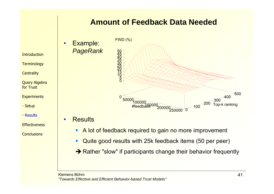#### **Amount of Feedback Data Needed**

• Example: *PageRank*



**Introduction** 

**Terminology** 

**Centrality** 

Query Algebra for Trust

**Experiments** 

- Setup

- Results

**Effectiveness** 

**Conclusions** 

• Results

•

- $\blacksquare$ A lot of feedback required to gain no more improvement
- ٠ Quite good results with 25k feedback items (50 per peer)
- $\rightarrow$  Rather "slow" if participants change their behavior frequently

Klemens Böhm*"Towards Effective and Efficient Behavior-based Trust Models"*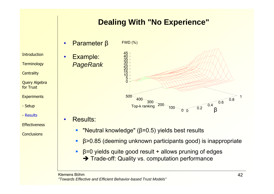## **Dealing With "No Experience"**

• Parameter β FWD (%)

•

•

**Introduction** 

**Terminology** 

**Centrality** 

Query Algebra for Trust

**Experiments** 

- Setup

- Results

**Effectiveness** 

**Conclusions** 



Results:

- $\overline{\phantom{a}}$ "Neutral knowledge" (β=0.5) yields best results
- **Contract** β>0.85 (deeming unknown participants good) is inappropriate
- $\overline{B}$  β=0 yields quite good result + allows pruning of edges  $\rightarrow$  Trade-off: Quality vs. computation performance

Klemens Böhm*"Towards Effective and Efficient Behavior-based Trust Models"*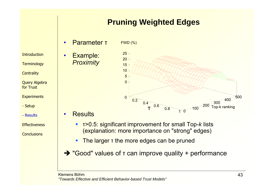## **Pruning Weighted Edges**

•Parameter τ

Example:

*Proximity*

•

•

**Introduction** 

**Terminology** 

**Centrality** 

Query Algebra for Trust

**Experiments** 

- Setup

- Results

**Effectiveness** 

**Conclusions** 



**Results** 

- <sup>τ</sup>>0.5: significant improvement for small Top-*k* lists (explanation: more importance on "strong" edges)
- $\blacksquare$ The larger <sup>τ</sup> the more edges can be pruned
- $\rightarrow$  **"Good" values of τ can improve quality + performance**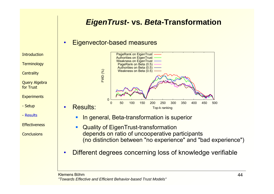#### *EigenTrust***- vs.** *Beta***-Transformation**

#### •Eigenvector-based measures

**Introduction** 

**Terminology** 

Query Algebra for Trust

**Experiments** 

- Setup

- Results

**Effectiveness** 

**Conclusions** 

**Centrality** 

• Results:  $\Omega$  0 50 100 150 200 250 300 350 400 450 500FWD (%) Top-k ranking PageRank on EigenTrust Authorities on EigenTrust Weakness on EigenTrust PageRank on Beta (0.5) Authorities on Beta (0.5) Weakness on Beta (0.5)

- П In general, Beta-transformation is superior
- П Quality of EigenTrust-transformation depends on ratio of uncooperative participants (no distinction between "no experience" and "bad experience")
- •Different degrees concerning loss of knowledge verifiable

Klemens Böhm*"Towards Effective and Efficient Behavior-based Trust Models"*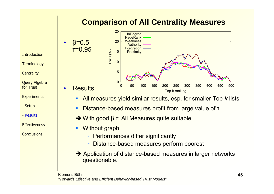## **Comparison of All Centrality Measures**

•

•

**Terminology** 

**Centrality** 

Query Algebra for Trust

**Experiments** 

- Setup

- Results

**Effectiveness** 



- $\blacksquare$ All measures yield similar results, esp. for smaller Top-*k* lists
- $\blacksquare$ Distance-based measures profit from large value of <sup>τ</sup>
- $\rightarrow$  With good β,τ: All Measures quite suitable
- П Without graph:
	- ٠ Performances differ significantly
	- ٠ Distance-based measures perform poorest
- $\rightarrow$  Application of distance-based measures in larger networks questionable.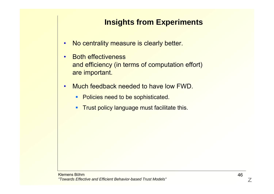## **Insights from Experiments**

- •No centrality measure is clearly better.
- • Both effectiveness and efficiency (in terms of computation effort) are important.
- • Much feedback needed to have low FWD.
	- **Policies need to be sophisticated.**
	- $\mathbf{u}$  . Trust policy language must facilitate this.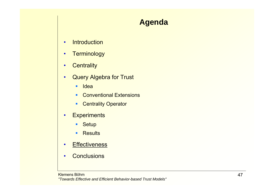## **Agenda**

- •**Introduction**
- •**Terminology**
- •**Centrality**
- • Query Algebra for Trust
	- $\blacksquare$ **Idea**
	- **Conventional Extensions**
	- $\mathbf{E}^{\text{max}}$ Centrality Operator
- •**Experiments** 
	- $\mathbf{R}^{(1)}$ **Setup**
	- $\mathbf{u}$ **Results**
- •• Effectiveness
- •**Conclusions**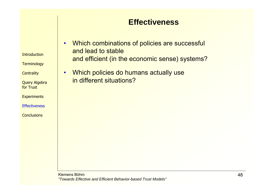#### **Effectiveness**

**Introduction** 

**Terminology** 

**Centrality** 

Query Algebra for Trust

•

**Experiments** 

**Effectiveness** 

- • Which combinations of policies are successful and lead to stable and efficient (in the economic sense) systems?
	- Which policies do humans actually use in different situations?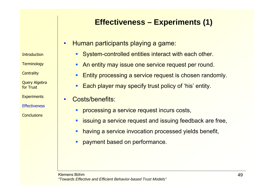## **Effectiveness – Experiments (1)**

- • Human participants playing a game:
	- **System-controlled entities interact with each other.**
	- П An entity may issue one service request per round.
	- ▉ Entity processing a service request is chosen randomly.
	- П Each player may specify trust policy of 'his' entity.
- • Costs/benefits:
	- $\blacksquare$ processing a service request incurs costs,
	- $\mathcal{L}_{\mathcal{A}}$ issuing a service request and issuing feedback are free,
	- $\mathcal{L}_{\mathcal{A}}$ having a service invocation processed yields benefit,
	- $\blacksquare$ payment based on performance.

**Introduction** 

**Terminology** 

**Centrality** 

Query Algebra for Trust

**Experiments** 

**Effectiveness**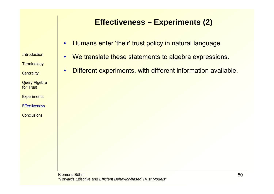### **Effectiveness – Experiments (2)**

- •Humans enter 'their' trust policy in natural language.
- •We translate these statements to algebra expressions.
- •Different experiments, with different information available.

**Introduction** 

**Terminology** 

Query Algebra for Trust

**Experiments** 

**Effectiveness** 

**Conclusions** 

**Centrality**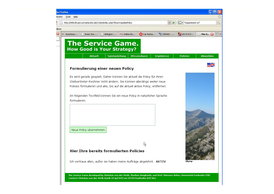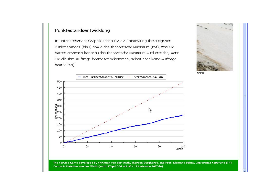#### Punktestandsentwicklung

In untenstehender Graphik sehen Sie die Entwicklung Ihres eigenen Punktestandes (blau) sowie das theoretische Maximum (rot), was Sie hätten erreichen können (das theoretische Maximum wird erreicht, wenn Sie alle Ihre Aufträge bearbetet bekommen, selbst aber keine Aufträgebearbeiten).





The Service Game developed by Christian von der Weth, Thorben Burghardt, and Prof. Klemens Böhm, Universität Karlsruhe (TH) Contact: Christian von der Weth (weth AT ipd DOT uni MINUS karlsruhe DOT de)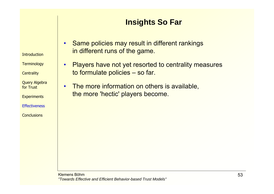## **Insights So Far**

• Same policies may result in different rankings in different runs of the game.

• Players have not yet resorted to centrality measures to formulate policies – so far.

• The more information on others is available, the more 'hectic' players become.

**Terminology** 

**Centrality** 

**Introduction** 

Query Algebra for Trust

**Experiments** 

**Effectiveness** 

**Conclusions** 

Klemens Böhm*"Towards Effective and Efficient Behavior-based Trust Models"*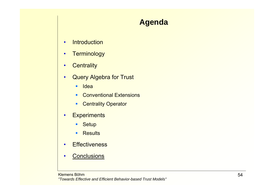## **Agenda**

- •**Introduction**
- •**Terminology**
- •**Centrality**
- • Query Algebra for Trust
	- $\blacksquare$ **Idea**
	- **Conventional Extensions**
	- $\mathbf{R}^{\text{max}}$ Centrality Operator
- •**Experiments** 
	- $\mathbf{R}^{(1)}$ **Setup**
	- $\mathbf{u}$  . **Results**
- •• Effectiveness
- •**Conclusions**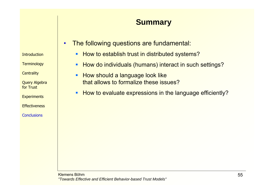# **Summary**

- • The following questions are fundamental:
	- How to establish trust in distributed systems?
	- $\blacksquare$ How do individuals (humans) interact in such settings?
	- $\blacksquare$  How should a language look like that allows to formalize these issues?
	- $\blacksquare$ How to evaluate expressions in the language efficiently?

**Introduction** 

**Terminology** 

**Centrality** 

Query Algebra for Trust

**Experiments** 

**Effectiveness**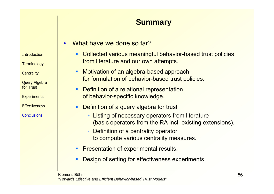# **Summary**

- •What have we done so far?
	- $\blacksquare$  Collected various meaningful behavior-based trust policies from literature and our own attempts.
	- $\blacksquare$  Motivation of an algebra-based approach for formulation of behavior-based trust policies.
		- П Definition of a relational representation of behavior-specific knowledge.
	- $\mathcal{L}_{\mathcal{A}}$ **Definition of a query algebra for trust** 
		- Listing of necessary operators from literature (basic operators from the RA incl. existing extensions),
		- Definition of a centrality operator to compute various centrality measures.
	- **Presentation of experimental results.**
	- ▉ Design of setting for effectiveness experiments.

**Introduction** 

**Terminology** 

**Centrality** 

Query Algebra for Trust

**Experiments** 

**Effectiveness**